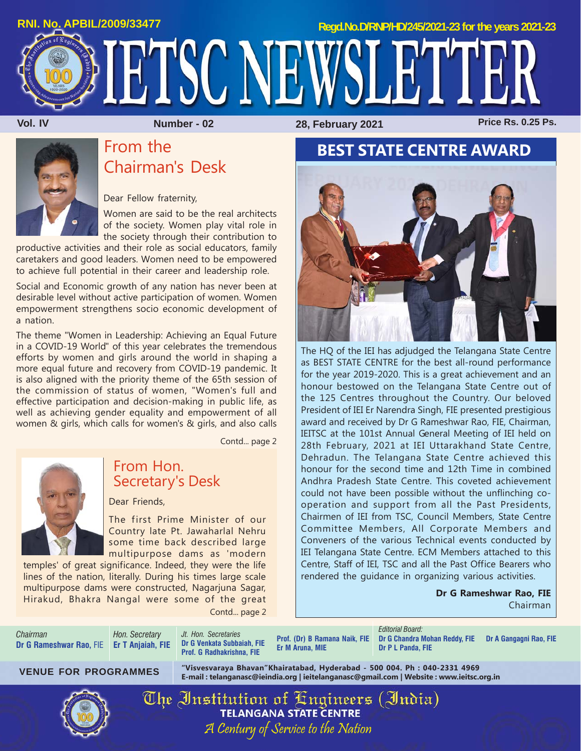

# From the Chairman's Desk

Dear Fellow fraternity,

Women are said to be the real architects of the society. Women play vital role in the society through their contribution to

productive activities and their role as social educators, family caretakers and good leaders. Women need to be empowered to achieve full potential in their career and leadership role.

Social and Economic growth of any nation has never been at desirable level without active participation of women. Women empowerment strengthens socio economic development of a nation.

The theme "Women in Leadership: Achieving an Equal Future in a COVID-19 World" of this year celebrates the tremendous efforts by women and girls around the world in shaping a more equal future and recovery from COVID-19 pandemic. It is also aligned with the priority theme of the 65th session of the commission of status of women, "Women's full and effective participation and decision-making in public life, as well as achieving gender equality and empowerment of all women & girls, which calls for women's & girls, and also calls

Contd... page 2



### From Hon. Secretary's Desk

Dear Friends,

The first Prime Minister of our Country late Pt. Jawaharlal Nehru some time back described large multipurpose dams as 'modern

temples' of great significance. Indeed, they were the life lines of the nation, literally. During his times large scale multipurpose dams were constructed, Nagarjuna Sagar, Hirakud, Bhakra Nangal were some of the great Contd... page 2

## **BEST STATE CENTRE AWARD**



The HQ of the IEI has adjudged the Telangana State Centre as BEST STATE CENTRE for the best all-round performance for the year 2019-2020. This is a great achievement and an honour bestowed on the Telangana State Centre out of the 125 Centres throughout the Country. Our beloved President of IEI Er Narendra Singh, FIE presented prestigious award and received by Dr G Rameshwar Rao, FIE, Chairman, IEITSC at the 101st Annual General Meeting of IEI held on 28th February, 2021 at IEI Uttarakhand State Centre, Dehradun. The Telangana State Centre achieved this honour for the second time and 12th Time in combined Andhra Pradesh State Centre. This coveted achievement could not have been possible without the unflinching cooperation and support from all the Past Presidents, Chairmen of IEI from TSC, Council Members, State Centre Committee Members, All Corporate Members and Conveners of the various Technical events conducted by IEI Telangana State Centre. ECM Members attached to this Centre, Staff of IEI, TSC and all the Past Office Bearers who rendered the guidance in organizing various activities.

> **Dr G Rameshwar Rao, FIE** Chairman

*Chairman* **Dr G Rameshwar Rao,** FIE **Er T Anjaiah, FIE**

*Hon. Secretary*

*Jt. Hon. Secretaries* **Dr G Venkata Subbaiah, FIE Prof. G Radhakrishna, FIE**

**Prof. (Dr) B Ramana Naik, FIE Er M Aruna, MIE**

*Editorial Board:* **Dr G Chandra Mohan Reddy, FIE Dr A Gangagni Rao, FIE Dr P L Panda, FIE**

**"Visvesvaraya Bhavan"Khairatabad, Hyderabad - 500 004. Ph : 040-2331 4969 E-mail : telanganasc@ieindia.org | ieitelanganasc@gmail.com | Website : www.ieitsc.org.in VENUE FOR PROGRAMMES**



The Institution of Engineers (India) **TELANGANA STATE CENTRE** A Century of Service to the Nation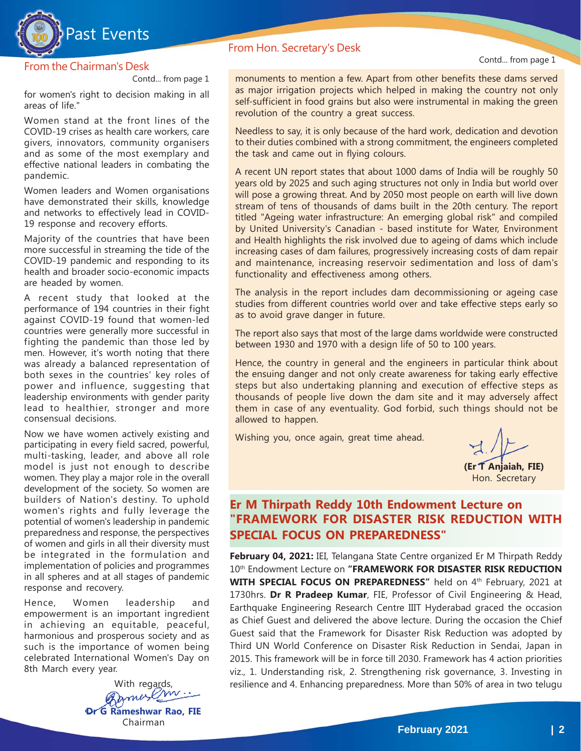

#### From the Chairman's Desk

Contd... from page 1

for women's right to decision making in all areas of life."

Women stand at the front lines of the COVID-19 crises as health care workers, care givers, innovators, community organisers and as some of the most exemplary and effective national leaders in combating the pandemic.

Women leaders and Women organisations have demonstrated their skills, knowledge and networks to effectively lead in COVID-19 response and recovery efforts.

Majority of the countries that have been more successful in streaming the tide of the COVID-19 pandemic and responding to its health and broader socio-economic impacts are headed by women.

A recent study that looked at the performance of 194 countries in their fight against COVID-19 found that women-led countries were generally more successful in fighting the pandemic than those led by men. However, it's worth noting that there was already a balanced representation of both sexes in the countries' key roles of power and influence, suggesting that leadership environments with gender parity lead to healthier, stronger and more consensual decisions.

Now we have women actively existing and participating in every field sacred, powerful, multi-tasking, leader, and above all role model is just not enough to describe women. They play a major role in the overall development of the society. So women are builders of Nation's destiny. To uphold women's rights and fully leverage the potential of women's leadership in pandemic preparedness and response, the perspectives of women and girls in all their diversity must be integrated in the formulation and implementation of policies and programmes in all spheres and at all stages of pandemic response and recovery.

Hence, Women leadership and empowerment is an important ingredient in achieving an equitable, peaceful, harmonious and prosperous society and as such is the importance of women being celebrated International Women's Day on 8th March every year.

With regards, **Dr G Rameshwar Rao, FIE** Chairman

#### From Hon. Secretary's Desk

Contd... from page 1

monuments to mention a few. Apart from other benefits these dams served as major irrigation projects which helped in making the country not only self-sufficient in food grains but also were instrumental in making the green revolution of the country a great success.

Needless to say, it is only because of the hard work, dedication and devotion to their duties combined with a strong commitment, the engineers completed the task and came out in flying colours.

A recent UN report states that about 1000 dams of India will be roughly 50 years old by 2025 and such aging structures not only in India but world over will pose a growing threat. And by 2050 most people on earth will live down stream of tens of thousands of dams built in the 20th century. The report titled "Ageing water infrastructure: An emerging global risk" and compiled by United University's Canadian - based institute for Water, Environment and Health highlights the risk involved due to ageing of dams which include increasing cases of dam failures, progressively increasing costs of dam repair and maintenance, increasing reservoir sedimentation and loss of dam's functionality and effectiveness among others.

The analysis in the report includes dam decommissioning or ageing case studies from different countries world over and take effective steps early so as to avoid grave danger in future.

The report also says that most of the large dams worldwide were constructed between 1930 and 1970 with a design life of 50 to 100 years.

Hence, the country in general and the engineers in particular think about the ensuing danger and not only create awareness for taking early effective steps but also undertaking planning and execution of effective steps as thousands of people live down the dam site and it may adversely affect them in case of any eventuality. God forbid, such things should not be allowed to happen.

Wishing you, once again, great time ahead.

**(Er T Anjaiah, FIE)** Hon. Secretary

#### **Er M Thirpath Reddy 10th Endowment Lecture on "FRAMEWORK FOR DISASTER RISK REDUCTION WITH SPECIAL FOCUS ON PREPAREDNESS"**

**February 04, 2021:** IEI, Telangana State Centre organized Er M Thirpath Reddy 10th Endowment Lecture on **"FRAMEWORK FOR DISASTER RISK REDUCTION WITH SPECIAL FOCUS ON PREPAREDNESS"** held on 4<sup>th</sup> February, 2021 at 1730hrs. **Dr R Pradeep Kumar**, FIE, Professor of Civil Engineering & Head, Earthquake Engineering Research Centre IIIT Hyderabad graced the occasion as Chief Guest and delivered the above lecture. During the occasion the Chief Guest said that the Framework for Disaster Risk Reduction was adopted by Third UN World Conference on Disaster Risk Reduction in Sendai, Japan in 2015. This framework will be in force till 2030. Framework has 4 action priorities viz., 1. Understanding risk, 2. Strengthening risk governance, 3. Investing in resilience and 4. Enhancing preparedness. More than 50% of area in two telugu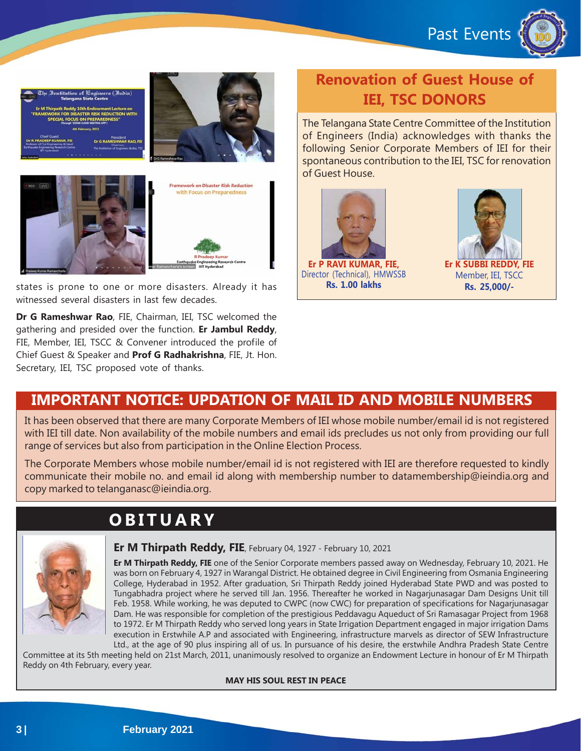Past Events





states is prone to one or more disasters. Already it has witnessed several disasters in last few decades.

**Dr G Rameshwar Rao**, FIE, Chairman, IEI, TSC welcomed the gathering and presided over the function. **Er Jambul Reddy**, FIE, Member, IEI, TSCC & Convener introduced the profile of Chief Guest & Speaker and **Prof G Radhakrishna**, FIE, Jt. Hon. Secretary, IEI, TSC proposed vote of thanks.

# **Renovation of Guest House of IEI, TSC DONORS**

The Telangana State Centre Committee of the Institution of Engineers (India) acknowledges with thanks the following Senior Corporate Members of IEI for their spontaneous contribution to the IEI, TSC for renovation of Guest House.





### **IMPORTANT NOTICE: UPDATION OF MAIL ID AND MOBILE NUMBERS**

It has been observed that there are many Corporate Members of IEI whose mobile number/email id is not registered with IEI till date. Non availability of the mobile numbers and email ids precludes us not only from providing our full range of services but also from participation in the Online Election Process.

The Corporate Members whose mobile number/email id is not registered with IEI are therefore requested to kindly communicate their mobile no. and email id along with membership number to datamembership@ieindia.org and copy marked to telanganasc@ieindia.org.

# **OBITUARY**



#### **Er M Thirpath Reddy, FIE**, February 04, 1927 - February 10, 2021

**Er M Thirpath Reddy, FIE** one of the Senior Corporate members passed away on Wednesday, February 10, 2021. He was born on February 4, 1927 in Warangal District. He obtained degree in Civil Engineering from Osmania Engineering College, Hyderabad in 1952. After graduation, Sri Thirpath Reddy joined Hyderabad State PWD and was posted to Tungabhadra project where he served till Jan. 1956. Thereafter he worked in Nagarjunasagar Dam Designs Unit till Feb. 1958. While working, he was deputed to CWPC (now CWC) for preparation of specifications for Nagarjunasagar Dam. He was responsible for completion of the prestigious Peddavagu Aqueduct of Sri Ramasagar Project from 1968 to 1972. Er M Thirpath Reddy who served long years in State Irrigation Department engaged in major irrigation Dams execution in Erstwhile A.P and associated with Engineering, infrastructure marvels as director of SEW Infrastructure

Ltd., at the age of 90 plus inspiring all of us. In pursuance of his desire, the erstwhile Andhra Pradesh State Centre Committee at its 5th meeting held on 21st March, 2011, unanimously resolved to organize an Endowment Lecture in honour of Er M Thirpath Reddy on 4th February, every year.

#### **MAY HIS SOUL REST IN PEACE**